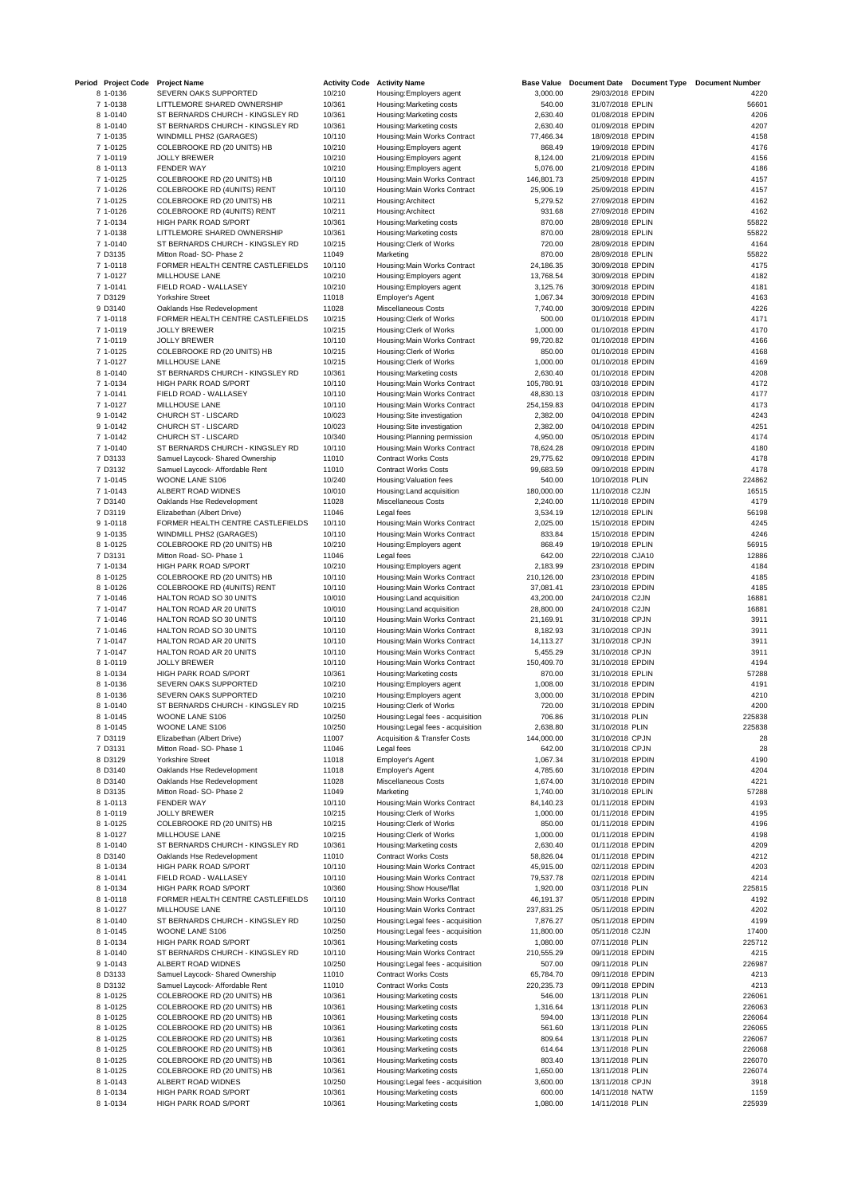| Period Project Code  | <b>Project Name</b>                                      | <b>Activity Code</b> | <b>Activity Name</b>                                | <b>Base Value</b>    | Document Date Document Type          | <b>Document Number</b> |
|----------------------|----------------------------------------------------------|----------------------|-----------------------------------------------------|----------------------|--------------------------------------|------------------------|
| 8 1-0136             | SEVERN OAKS SUPPORTED                                    | 10/210               | Housing: Employers agent                            | 3,000.00             | 29/03/2018 EPDIN                     | 4220                   |
| 7 1-0138             | LITTLEMORE SHARED OWNERSHIP                              | 10/361               | Housing: Marketing costs                            | 540.00               | 31/07/2018 EPLIN                     | 56601                  |
| 8 1-0140             | ST BERNARDS CHURCH - KINGSLEY RD                         | 10/361               | Housing: Marketing costs                            | 2,630.40             | 01/08/2018 EPDIN                     | 4206                   |
| 8 1-0140             | ST BERNARDS CHURCH - KINGSLEY RD                         | 10/361               | Housing: Marketing costs                            | 2,630.40             | 01/09/2018 EPDIN                     | 4207                   |
| 7 1-0135             | WINDMILL PHS2 (GARAGES)                                  | 10/110               | Housing: Main Works Contract                        | 77,466.34            | 18/09/2018 EPDIN                     | 4158                   |
| 7 1-0125             | COLEBROOKE RD (20 UNITS) HB                              | 10/210               | Housing: Employers agent                            | 868.49               | 19/09/2018 EPDIN                     | 4176                   |
| 7 1-0119             | <b>JOLLY BREWER</b>                                      | 10/210               | Housing: Employers agent                            | 8,124.00             | 21/09/2018 EPDIN                     | 4156                   |
| 8 1-0113             | <b>FENDER WAY</b>                                        | 10/210               | Housing: Employers agent                            | 5,076.00             | 21/09/2018 EPDIN                     | 4186                   |
| 7 1-0125             | COLEBROOKE RD (20 UNITS) HB                              | 10/110               | Housing: Main Works Contract                        | 146,801.73           | 25/09/2018 EPDIN                     | 4157                   |
| 7 1-0126             | COLEBROOKE RD (4UNITS) RENT                              | 10/110               | Housing: Main Works Contract                        | 25,906.19            | 25/09/2018 EPDIN                     | 4157                   |
| 7 1-0125             | COLEBROOKE RD (20 UNITS) HB                              | 10/211               | Housing: Architect                                  | 5,279.52             | 27/09/2018 EPDIN                     | 4162                   |
| 7 1-0126             | COLEBROOKE RD (4UNITS) RENT                              | 10/211               | Housing: Architect                                  | 931.68               | 27/09/2018 EPDIN                     | 4162                   |
| 7 1-0134             | HIGH PARK ROAD S/PORT                                    | 10/361               | Housing: Marketing costs                            | 870.00               | 28/09/2018 EPLIN                     | 55822                  |
| 7 1-0138             | LITTLEMORE SHARED OWNERSHIP                              | 10/361               | Housing: Marketing costs                            | 870.00               | 28/09/2018 EPLIN                     | 55822                  |
| 7 1-0140             | ST BERNARDS CHURCH - KINGSLEY RD                         | 10/215               | Housing: Clerk of Works                             | 720.00               | 28/09/2018 EPDIN                     | 4164                   |
| 7 D3135              | Mitton Road- SO- Phase 2                                 | 11049                | Marketing                                           | 870.00               | 28/09/2018 EPLIN                     | 55822                  |
| 7 1-0118             | FORMER HEALTH CENTRE CASTLEFIELDS                        | 10/110               | Housing: Main Works Contract                        | 24,186.35            | 30/09/2018 EPDIN                     | 4175                   |
| 7 1-0127             | MILLHOUSE LANE                                           | 10/210               | Housing: Employers agent                            | 13,768.54            | 30/09/2018 EPDIN                     | 4182                   |
| 7 1-0141             | FIELD ROAD - WALLASEY                                    | 10/210               | Housing: Employers agent                            | 3,125.76             | 30/09/2018 EPDIN                     | 4181                   |
| 7 D3129              | <b>Yorkshire Street</b>                                  | 11018                | Employer's Agent                                    | 1,067.34             | 30/09/2018 EPDIN                     | 4163                   |
| 9 D3140              | Oaklands Hse Redevelopment                               | 11028                | Miscellaneous Costs                                 | 7,740.00             | 30/09/2018 EPDIN                     | 4226<br>4171           |
| 7 1-0118<br>7 1-0119 | FORMER HEALTH CENTRE CASTLEFIELDS<br><b>JOLLY BREWER</b> | 10/215<br>10/215     | Housing: Clerk of Works                             | 500.00               | 01/10/2018 EPDIN<br>01/10/2018 EPDIN | 4170                   |
|                      | <b>JOLLY BREWER</b>                                      | 10/110               | Housing: Clerk of Works                             | 1,000.00             |                                      | 4166                   |
| 7 1-0119             |                                                          |                      | Housing: Main Works Contract                        | 99,720.82            | 01/10/2018 EPDIN                     | 4168                   |
| 7 1-0125             | COLEBROOKE RD (20 UNITS) HB<br>MILLHOUSE LANE            | 10/215               | Housing: Clerk of Works                             | 850.00               | 01/10/2018 EPDIN                     | 4169                   |
| 7 1-0127<br>8 1-0140 | ST BERNARDS CHURCH - KINGSLEY RD                         | 10/215<br>10/361     | Housing: Clerk of Works<br>Housing: Marketing costs | 1,000.00<br>2,630.40 | 01/10/2018 EPDIN<br>01/10/2018 EPDIN | 4208                   |
| 7 1-0134             | HIGH PARK ROAD S/PORT                                    | 10/110               | Housing: Main Works Contract                        | 105,780.91           | 03/10/2018 EPDIN                     | 4172                   |
| 7 1-0141             | FIELD ROAD - WALLASEY                                    | 10/110               | Housing: Main Works Contract                        | 48,830.13            | 03/10/2018 EPDIN                     | 4177                   |
| 7 1-0127             | MILLHOUSE LANE                                           | 10/110               | Housing: Main Works Contract                        | 254,159.83           | 04/10/2018 EPDIN                     | 4173                   |
| 9 1-0142             | CHURCH ST - LISCARD                                      | 10/023               | Housing: Site investigation                         | 2,382.00             | 04/10/2018 EPDIN                     | 4243                   |
| 9 1-0142             | CHURCH ST - LISCARD                                      | 10/023               | Housing: Site investigation                         | 2,382.00             | 04/10/2018 EPDIN                     | 4251                   |
| 7 1-0142             | CHURCH ST - LISCARD                                      | 10/340               | Housing: Planning permission                        | 4,950.00             | 05/10/2018 EPDIN                     | 4174                   |
| 7 1-0140             | ST BERNARDS CHURCH - KINGSLEY RD                         | 10/110               | Housing: Main Works Contract                        | 78,624.28            | 09/10/2018 EPDIN                     | 4180                   |
| 7 D3133              | Samuel Laycock- Shared Ownership                         | 11010                | <b>Contract Works Costs</b>                         | 29,775.62            | 09/10/2018 EPDIN                     | 4178                   |
| 7 D3132              | Samuel Laycock- Affordable Rent                          | 11010                | <b>Contract Works Costs</b>                         | 99,683.59            | 09/10/2018 EPDIN                     | 4178                   |
| 7 1-0145             | WOONE LANE S106                                          | 10/240               | Housing: Valuation fees                             | 540.00               | 10/10/2018 PLIN                      | 224862                 |
| 7 1-0143             | ALBERT ROAD WIDNES                                       | 10/010               | Housing: Land acquisition                           | 180,000.00           | 11/10/2018 C2JN                      | 16515                  |
| 7 D3140              | Oaklands Hse Redevelopment                               | 11028                | Miscellaneous Costs                                 | 2,240.00             | 11/10/2018 EPDIN                     | 4179                   |
| 7 D3119              | Elizabethan (Albert Drive)                               | 11046                | Legal fees                                          | 3,534.19             | 12/10/2018 EPLIN                     | 56198                  |
| 9 1-0118             | FORMER HEALTH CENTRE CASTLEFIELDS                        | 10/110               | Housing: Main Works Contract                        | 2,025.00             | 15/10/2018 EPDIN                     | 4245                   |
| 9 1-0135             | WINDMILL PHS2 (GARAGES)                                  | 10/110               | Housing: Main Works Contract                        | 833.84               | 15/10/2018 EPDIN                     | 4246                   |
| 8 1-0125             | COLEBROOKE RD (20 UNITS) HB                              | 10/210               | Housing: Employers agent                            | 868.49               | 19/10/2018 EPLIN                     | 56915                  |
| 7 D3131              | Mitton Road- SO- Phase 1                                 | 11046                | Legal fees                                          | 642.00               | 22/10/2018 CJA10                     | 12886                  |
| 7 1-0134             | HIGH PARK ROAD S/PORT                                    | 10/210               | Housing: Employers agent                            | 2,183.99             | 23/10/2018 EPDIN                     | 4184                   |
| 8 1-0125             | COLEBROOKE RD (20 UNITS) HB                              | 10/110               | Housing: Main Works Contract                        | 210,126.00           | 23/10/2018 EPDIN                     | 4185                   |
| 8 1-0126             | COLEBROOKE RD (4UNITS) RENT                              | 10/110               | Housing: Main Works Contract                        | 37,081.41            | 23/10/2018 EPDIN                     | 4185                   |
| 7 1-0146             | HALTON ROAD SO 30 UNITS                                  | 10/010               | Housing: Land acquisition                           | 43,200.00            | 24/10/2018 C2JN                      | 16881                  |
| 7 1-0147             | HALTON ROAD AR 20 UNITS                                  | 10/010               | Housing: Land acquisition                           | 28,800.00            | 24/10/2018 C2JN                      | 16881                  |
| 7 1-0146             | HALTON ROAD SO 30 UNITS                                  | 10/110               | Housing: Main Works Contract                        | 21,169.91            | 31/10/2018 CPJN                      | 3911                   |
| 7 1-0146             | HALTON ROAD SO 30 UNITS                                  | 10/110               | Housing: Main Works Contract                        | 8,182.93             | 31/10/2018 CPJN                      | 3911                   |
| 7 1-0147             | HALTON ROAD AR 20 UNITS                                  | 10/110               | Housing: Main Works Contract                        | 14,113.27            | 31/10/2018 CPJN                      | 3911                   |
| 7 1-0147             | HALTON ROAD AR 20 UNITS                                  | 10/110               | Housing: Main Works Contract                        | 5,455.29             | 31/10/2018 CPJN                      | 3911                   |
| 8 1-0119             | <b>JOLLY BREWER</b>                                      | 10/110               | Housing: Main Works Contract                        | 150,409.70           | 31/10/2018 EPDIN                     | 4194                   |
| 8 1-0134             | HIGH PARK ROAD S/PORT                                    | 10/361               | Housing: Marketing costs                            | 870.00               | 31/10/2018 EPLIN                     | 57288                  |
| 8 1-0136             | SEVERN OAKS SUPPORTED                                    | 10/210               | Housing: Employers agent                            | 1,008.00             | 31/10/2018 EPDIN                     | 4191                   |
| 8 1-0136             | SEVERN OAKS SUPPORTED                                    | 10/210               | Housing: Employers agent                            | 3,000.00             | 31/10/2018 EPDIN                     | 4210                   |
| 8 1-0140             | ST BERNARDS CHURCH - KINGSLEY RD                         | 10/215               | Housing: Clerk of Works                             | 720.00               | 31/10/2018 EPDIN                     | 4200                   |
| 8 1-0145             | WOONE LANE S106                                          | 10/250               | Housing: Legal fees - acquisition                   | 706.86               | 31/10/2018 PLIN                      | 225838                 |
| 8 1-0145             | WOONE LANE S106                                          | 10/250               | Housing: Legal fees - acquisition                   | 2,638.80             | 31/10/2018 PLIN                      | 225838                 |
| 7 D3119              | Elizabethan (Albert Drive)                               | 11007                | <b>Acquisition &amp; Transfer Costs</b>             | 144,000.00           | 31/10/2018 CPJN                      | 28                     |
| 7 D3131              | Mitton Road- SO- Phase 1                                 | 11046                | Legal fees                                          | 642.00               | 31/10/2018 CPJN                      | 28                     |
| 8 D3129              | <b>Yorkshire Street</b>                                  | 11018                | Employer's Agent                                    | 1,067.34             | 31/10/2018 EPDIN                     | 4190                   |
| 8 D3140              | Oaklands Hse Redevelopment                               | 11018                | Employer's Agent                                    | 4,785.60             | 31/10/2018 EPDIN                     | 4204                   |
| 8 D3140              | Oaklands Hse Redevelopment                               | 11028                | Miscellaneous Costs                                 | 1,674.00             | 31/10/2018 EPDIN                     | 4221                   |
| 8 D3135              | Mitton Road- SO- Phase 2                                 | 11049                | Marketing                                           | 1,740.00             | 31/10/2018 EPLIN                     | 57288                  |
| 8 1-0113             | <b>FENDER WAY</b>                                        | 10/110               | Housing: Main Works Contract                        | 84,140.23            | 01/11/2018 EPDIN                     | 4193                   |
| 8 1-0119             | <b>JOLLY BREWER</b>                                      | 10/215               | Housing: Clerk of Works                             | 1,000.00             | 01/11/2018 EPDIN                     | 4195                   |
| 8 1-0125             | COLEBROOKE RD (20 UNITS) HB                              | 10/215               | Housing: Clerk of Works                             | 850.00               | 01/11/2018 EPDIN                     | 4196                   |
| 8 1-0127             | <b>MILLHOUSE LANE</b>                                    | 10/215               | Housing: Clerk of Works                             | 1,000.00             | 01/11/2018 EPDIN                     | 4198                   |
| 8 1-0140             | ST BERNARDS CHURCH - KINGSLEY RD                         | 10/361               | Housing: Marketing costs                            | 2,630.40             | 01/11/2018 EPDIN                     | 4209                   |
| 8 D3140              | Oaklands Hse Redevelopment                               | 11010                | <b>Contract Works Costs</b>                         | 58,826.04            | 01/11/2018 EPDIN                     | 4212                   |
| 8 1-0134             | HIGH PARK ROAD S/PORT                                    | 10/110               | Housing: Main Works Contract                        | 45,915.00            | 02/11/2018 EPDIN                     | 4203                   |
| 8 1-0141             | FIELD ROAD - WALLASEY                                    | 10/110               | Housing: Main Works Contract                        | 79,537.78            | 02/11/2018 EPDIN                     | 4214                   |
| 8 1-0134             | HIGH PARK ROAD S/PORT                                    | 10/360               | Housing: Show House/flat                            | 1,920.00             | 03/11/2018 PLIN                      | 225815                 |
| 8 1-0118             | FORMER HEALTH CENTRE CASTLEFIELDS                        | 10/110               | Housing: Main Works Contract                        | 46,191.37            | 05/11/2018 EPDIN                     | 4192                   |
| 8 1-0127             | MILLHOUSE LANE                                           | 10/110               | Housing: Main Works Contract                        | 237,831.25           | 05/11/2018 EPDIN                     | 4202                   |
| 8 1-0140             | ST BERNARDS CHURCH - KINGSLEY RD                         | 10/250               | Housing: Legal fees - acquisition                   | 7,876.27             | 05/11/2018 EPDIN                     | 4199                   |
| 8 1-0145             | WOONE LANE S106                                          | 10/250               | Housing: Legal fees - acquisition                   | 11,800.00            | 05/11/2018 C2JN                      | 17400                  |
| 8 1-0134             | HIGH PARK ROAD S/PORT                                    | 10/361               | Housing: Marketing costs                            | 1,080.00             | 07/11/2018 PLIN                      | 225712                 |
| 8 1-0140             | ST BERNARDS CHURCH - KINGSLEY RD                         | 10/110               | Housing: Main Works Contract                        | 210,555.29           | 09/11/2018 EPDIN                     | 4215                   |
| 9 1-0143             | ALBERT ROAD WIDNES                                       | 10/250               | Housing: Legal fees - acquisition                   | 507.00               | 09/11/2018 PLIN                      | 226987                 |
| 8 D3133              | Samuel Laycock- Shared Ownership                         | 11010                | <b>Contract Works Costs</b>                         | 65,784.70            | 09/11/2018 EPDIN                     | 4213                   |
| 8 D3132              | Samuel Laycock- Affordable Rent                          | 11010                | <b>Contract Works Costs</b>                         | 220,235.73           | 09/11/2018 EPDIN                     | 4213                   |
| 8 1-0125             | COLEBROOKE RD (20 UNITS) HB                              | 10/361               | Housing: Marketing costs                            | 546.00               | 13/11/2018 PLIN                      | 226061                 |
| 8 1-0125             | COLEBROOKE RD (20 UNITS) HB                              | 10/361               | Housing: Marketing costs                            | 1,316.64             | 13/11/2018 PLIN                      | 226063                 |
| 8 1-0125             | COLEBROOKE RD (20 UNITS) HB                              | 10/361               | Housing: Marketing costs                            | 594.00               | 13/11/2018 PLIN                      | 226064                 |
| 8 1-0125             | COLEBROOKE RD (20 UNITS) HB                              | 10/361               | Housing: Marketing costs                            | 561.60               | 13/11/2018 PLIN                      | 226065                 |
| 8 1-0125             | COLEBROOKE RD (20 UNITS) HB                              | 10/361               | Housing: Marketing costs                            | 809.64               | 13/11/2018 PLIN                      | 226067                 |
| 8 1-0125             | COLEBROOKE RD (20 UNITS) HB                              | 10/361               | Housing: Marketing costs                            | 614.64               | 13/11/2018 PLIN                      | 226068                 |
| 8 1-0125             | COLEBROOKE RD (20 UNITS) HB                              | 10/361               | Housing: Marketing costs                            | 803.40               | 13/11/2018 PLIN                      | 226070                 |
| 8 1-0125             | COLEBROOKE RD (20 UNITS) HB                              | 10/361               | Housing: Marketing costs                            | 1,650.00             | 13/11/2018 PLIN                      | 226074                 |
| 8 1-0143             | ALBERT ROAD WIDNES                                       | 10/250               | Housing: Legal fees - acquisition                   | 3,600.00             | 13/11/2018 CPJN                      | 3918                   |
| 8 1-0134             | HIGH PARK ROAD S/PORT                                    | 10/361               | Housing: Marketing costs                            | 600.00               | 14/11/2018 NATW                      | 1159                   |
| 8 1-0134             | HIGH PARK ROAD S/PORT                                    | 10/361               | Housing: Marketing costs                            | 1,080.00             | 14/11/2018 PLIN                      | 225939                 |